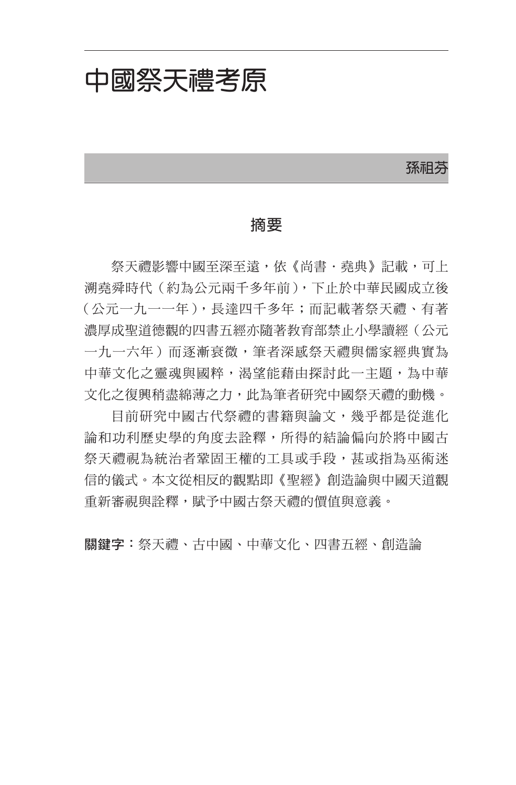## 中國祭天禮考原

孫祖芬

## 摘要

祭天禮影響中國至深至遠,依《尚書·堯典》記載,可上 溯堯舜時代(約為公元兩千多年前),下止於中華民國成立後 (公元一九一一年),長達四千多年;而記載著祭天禮、有著 濃厚成聖道德觀的四書五經亦隨著教育部禁止小學讀經(公元 一九一六年)而涿漸衰微,筆者深感祭天禮與儒家經典實為 中華文化之靈魂與國粹,渴望能藉由探討此一主題,為中華 文化之復興稍盡綿薄之力,此為筆者研究中國祭天禮的動機。

目前研究中國古代祭禮的書籍與論文,幾乎都是從進化 論和功利歷史學的角度去詮釋,所得的結論偏向於將中國古 祭天禮視為統治者鞏固王權的工具或手段,甚或指為巫術迷 信的儀式。本文從相反的觀點即《聖經》創造論與中國天道觀 重新審視與詮釋,賦予中國古祭天禮的價值與意義。

關鍵字:祭天禮、古中國、中華文化、四書五經、創造論